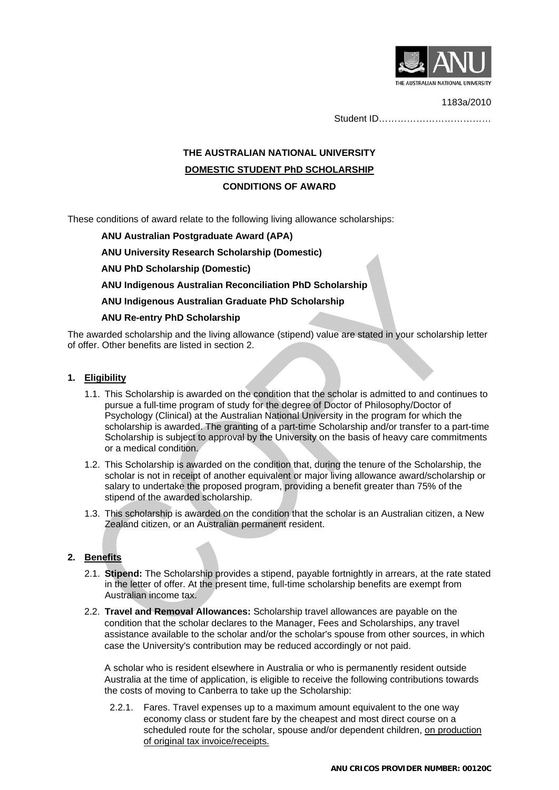

# 1183a/2010

Student ID………………………………

# **THE AUSTRALIAN NATIONAL UNIVERSITY DOMESTIC STUDENT PhD SCHOLARSHIP CONDITIONS OF AWARD**

These conditions of award relate to the following living allowance scholarships:

**ANU Australian Postgraduate Award (APA)** 

**ANU University Research Scholarship (Domestic)** 

**ANU PhD Scholarship (Domestic)** 

**ANU Indigenous Australian Reconciliation PhD Scholarship** 

**ANU Indigenous Australian Graduate PhD Scholarship** 

# **ANU Re-entry PhD Scholarship**

The awarded scholarship and the living allowance (stipend) value are stated in your scholarship letter of offer. Other benefits are listed in section 2.

# **1. Eligibility**

- 1.1. This Scholarship is awarded on the condition that the scholar is admitted to and continues to pursue a full-time program of study for the degree of Doctor of Philosophy/Doctor of Psychology (Clinical) at the Australian National University in the program for which the scholarship is awarded. The granting of a part-time Scholarship and/or transfer to a part-time Scholarship is subject to approval by the University on the basis of heavy care commitments or a medical condition.
- 1.2. This Scholarship is awarded on the condition that, during the tenure of the Scholarship, the scholar is not in receipt of another equivalent or major living allowance award/scholarship or salary to undertake the proposed program, providing a benefit greater than 75% of the stipend of the awarded scholarship.
- 1.3. This scholarship is awarded on the condition that the scholar is an Australian citizen, a New Zealand citizen, or an Australian permanent resident.

# **2. Benefits**

- 2.1. **Stipend:** The Scholarship provides a stipend, payable fortnightly in arrears, at the rate stated in the letter of offer. At the present time, full-time scholarship benefits are exempt from Australian income tax.
- 2.2. **Travel and Removal Allowances:** Scholarship travel allowances are payable on the condition that the scholar declares to the Manager, Fees and Scholarships, any travel assistance available to the scholar and/or the scholar's spouse from other sources, in which case the University's contribution may be reduced accordingly or not paid.

A scholar who is resident elsewhere in Australia or who is permanently resident outside Australia at the time of application, is eligible to receive the following contributions towards the costs of moving to Canberra to take up the Scholarship:

2.2.1. Fares. Travel expenses up to a maximum amount equivalent to the one way economy class or student fare by the cheapest and most direct course on a scheduled route for the scholar, spouse and/or dependent children, on production of original tax invoice/receipts.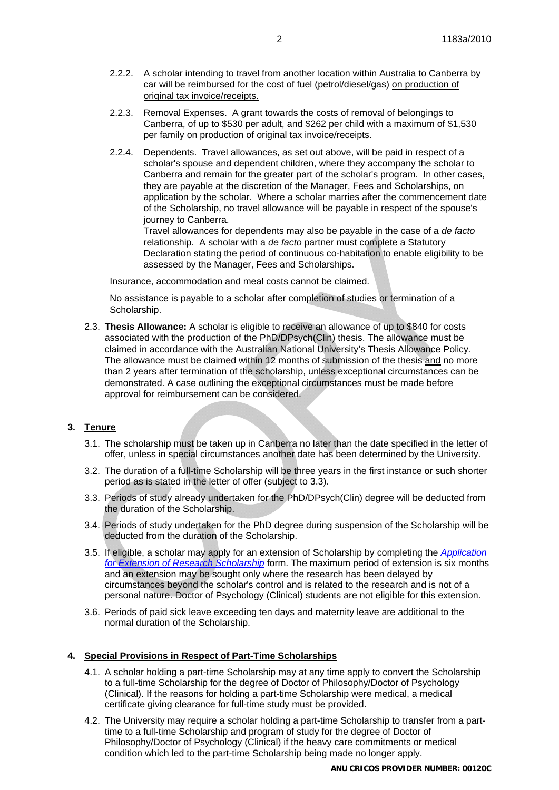- 2.2.2. A scholar intending to travel from another location within Australia to Canberra by car will be reimbursed for the cost of fuel (petrol/diesel/gas) on production of original tax invoice/receipts.
- 2.2.3. Removal Expenses. A grant towards the costs of removal of belongings to Canberra, of up to \$530 per adult, and \$262 per child with a maximum of \$1,530 per family on production of original tax invoice/receipts.
- 2.2.4. Dependents. Travel allowances, as set out above, will be paid in respect of a scholar's spouse and dependent children, where they accompany the scholar to Canberra and remain for the greater part of the scholar's program. In other cases, they are payable at the discretion of the Manager, Fees and Scholarships, on application by the scholar. Where a scholar marries after the commencement date of the Scholarship, no travel allowance will be payable in respect of the spouse's journey to Canberra.

Travel allowances for dependents may also be payable in the case of a *de facto* relationship. A scholar with a *de facto* partner must complete a Statutory Declaration stating the period of continuous co-habitation to enable eligibility to be assessed by the Manager, Fees and Scholarships.

Insurance, accommodation and meal costs cannot be claimed.

No assistance is payable to a scholar after completion of studies or termination of a Scholarship.

2.3. **Thesis Allowance:** A scholar is eligible to receive an allowance of up to \$840 for costs associated with the production of the PhD/DPsych(Clin) thesis. The allowance must be claimed in accordance with the Australian National University's Thesis Allowance Policy*.* The allowance must be claimed within 12 months of submission of the thesis and no more than 2 years after termination of the scholarship, unless exceptional circumstances can be demonstrated. A case outlining the exceptional circumstances must be made before approval for reimbursement can be considered.

# **3. Tenure**

- 3.1. The scholarship must be taken up in Canberra no later than the date specified in the letter of offer, unless in special circumstances another date has been determined by the University.
- 3.2. The duration of a full-time Scholarship will be three years in the first instance or such shorter period as is stated in the letter of offer (subject to 3.3).
- 3.3. Periods of study already undertaken for the PhD/DPsych(Clin) degree will be deducted from the duration of the Scholarship.
- 3.4. Periods of study undertaken for the PhD degree during suspension of the Scholarship will be deducted from the duration of the Scholarship.
- 3.5. If eligible, a scholar may apply for an extension of Scholarship by completing the *Application for Extension of Research Scholarship* form. The maximum period of extension is six months and an extension may be sought only where the research has been delayed by circumstances beyond the scholar's control and is related to the research and is not of a personal nature. Doctor of Psychology (Clinical) students are not eligible for this extension.
- 3.6. Periods of paid sick leave exceeding ten days and maternity leave are additional to the normal duration of the Scholarship.

### **4. Special Provisions in Respect of Part-Time Scholarships**

- 4.1. A scholar holding a part-time Scholarship may at any time apply to convert the Scholarship to a full-time Scholarship for the degree of Doctor of Philosophy/Doctor of Psychology (Clinical). If the reasons for holding a part-time Scholarship were medical, a medical certificate giving clearance for full-time study must be provided.
- 4.2. The University may require a scholar holding a part-time Scholarship to transfer from a parttime to a full-time Scholarship and program of study for the degree of Doctor of Philosophy/Doctor of Psychology (Clinical) if the heavy care commitments or medical condition which led to the part-time Scholarship being made no longer apply.